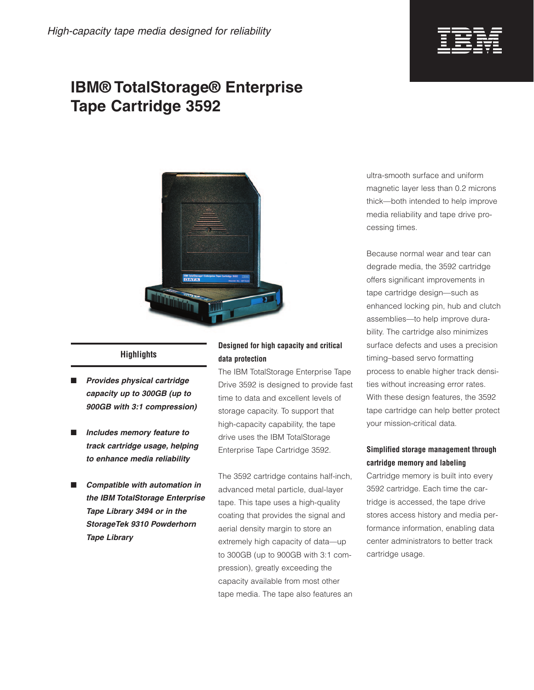

# **IBM® TotalStorage® Enterprise Tape Cartridge 3592**



## **Highlights**

- *Provides physical cartridge capacity up to 300GB (up to 900GB with 3:1 compression)*
- *Includes memory feature to track cartridge usage, helping to enhance media reliability*
- *Compatible with automation in the IBM TotalStorage Enterprise Tape Library 3494 or in the StorageTek 9310 Powderhorn Tape Library*

### **Designed for high capacity and critical data protection**

The IBM TotalStorage Enterprise Tape Drive 3592 is designed to provide fast time to data and excellent levels of storage capacity. To support that high-capacity capability, the tape drive uses the IBM TotalStorage Enterprise Tape Cartridge 3592.

The 3592 cartridge contains half-inch, advanced metal particle, dual-layer tape. This tape uses a high-quality coating that provides the signal and aerial density margin to store an extremely high capacity of data—up to 300GB (up to 900GB with 3:1 compression), greatly exceeding the capacity available from most other tape media. The tape also features an ultra-smooth surface and uniform magnetic layer less than 0.2 microns thick—both intended to help improve media reliability and tape drive processing times.

Because normal wear and tear can degrade media, the 3592 cartridge offers significant improvements in tape cartridge design—such as enhanced locking pin, hub and clutch assemblies—to help improve durability. The cartridge also minimizes surface defects and uses a precision timing–based servo formatting process to enable higher track densities without increasing error rates. With these design features, the 3592 tape cartridge can help better protect your mission-critical data.

### **Simplified storage management through cartridge memory and labeling**

Cartridge memory is built into every 3592 cartridge. Each time the cartridge is accessed, the tape drive stores access history and media performance information, enabling data center administrators to better track cartridge usage.